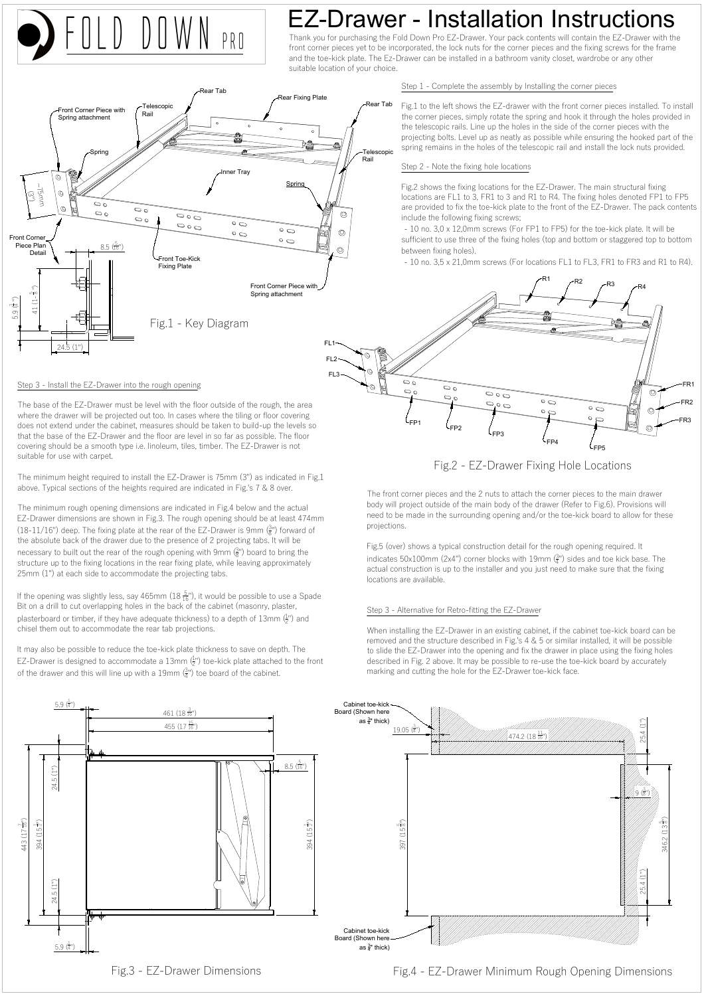

# EZ-Drawer - Installation Instructions

Thank you for purchasing the Fold Down Pro FZ-Drawer. Your pack contents will contain the FZ-Drawer front corner pieces yet to be incorporated, the lock nuts for the corner pieces and the fixing screws for the frame and the toe-kick plate. The Ez-Drawer can be installed in a bathroom vanity closet, wardrobe or any other suitable location of your choice.

Step 1 - Complete the assembly by Installing the corner pieces



### Step 3 - Install the EZ-Drawer into the rough opening

The base of the EZ-Drawer must be level with the floor outside of the rough, the area where the drawer will be projected out too. In cases where the tiling or floor covering does not extend under the cabinet, measures should be taken to build-up the levels so that the base of the EZ-Drawer and the floor are level in so far as possible. The floor covering should be a smooth type i.e. linoleum, tiles, timber. The EZ-Drawer is not suitable for use with carpet.

The minimum height required to install the EZ-Drawer is 75mm (3") as indicated in Fig.1 above. Typical sections of the heights required are indicated in Fig.'s 7 & 8 over.

The minimum rough opening dimensions are indicated in Fig.4 below and the actual EZ-Drawer dimensions are shown in Fig.3. The rough opening should be at least 474mm (18-11/16") deep. The fixing plate at the rear of the EZ-Drawer is 9mm  $\binom{3}{3}$  forward of projection the absolute back of the drawer due to the presence of 2 projecting tabs. It will be necessary to built out the rear of the rough opening with 9mm (3") board to bring the the state of the state found out of structure up to the fixing locations in the rear fixing plate, while leaving approximately 25mm (1") at each side to accommodate the projecting tabs.

If the opening was slightly less, say 465mm (18 $\frac{5}{16}$ "), it would be possible to use a Spade Bit on a drill to cut overlapping holes in the back of the cabinet (masonry, plaster, plasterboard or timber, if they have adequate thickness) to a depth of  $13 \text{mm}$  ( $\frac{1}{2}$ ") and chisel them out to accommodate the rear tab projections.

It may also be possible to reduce the toe-kick plate thickness to save on depth. The EZ-Drawer is designed to accommodate a 13mm  $(\frac{1}{2}$ ") toe-kick plate attached to the front described of the drawer and this will line up with a 19mm  $\binom{3}{4}$  toe board of the cabinet.

# Telescopic spring remains in the holes of the telescopic rail and install the lock nuts provided.

**Spring**  $\iiint$  **Fig.2** shows the fixing locations for the EZ-Drawer. The main structural fixing locations are FL1 to 3, FR1 to 3 and R1 to R4. The fixing holes denoted FP1 to FP5 are provided to fix the toe-kick plate to the front of the EZ-Drawer. The pack contents include the following fixing screws;

 - 10 no. 3,0 x 12,0mm screws (For FP1 to FP5) for the toe-kick plate. It will be sufficient to use three of the fixing holes (top and bottom or staggered top to bottom between fixing holes).

- 10 no. 3,5 x 21,0mm screws (For locations FL1 to FL3, FR1 to FR3 and R1 to R4).



Fig.2 - EZ-Drawer Fixing Hole Locations

The front corner pieces and the 2 nuts to attach the corner pieces to the main drawer body will project outside of the main body of the drawer (Refer to Fig.6). Provisions will need to be made in the surrounding opening and/or the toe-kick board to allow for these projections.

Fig.5 (over) shows a typical construction detail for the rough opening required. It indicates 50x100mm (2x4") corner blocks with 19mm  $\frac{\delta_n}{4}$ ) sides and toe kick base. The actual construction is up to the installer and you just need to make sure that the fixing locations are available.

#### Step 3 - Alternative for Retro-fitting the EZ-Drawer

When installing the EZ-Drawer in an existing cabinet, if the cabinet toe-kick board can be removed and the structure described in Fig.'s 4 & 5 or similar installed, it will be possible to slide the EZ-Drawer into the opening and fix the drawer in place using the fixing holes described in Fig. 2 above. It may be possible to re-use the toe-kick board by accurately marking and cutting the hole for the EZ-Drawer toe-kick face.